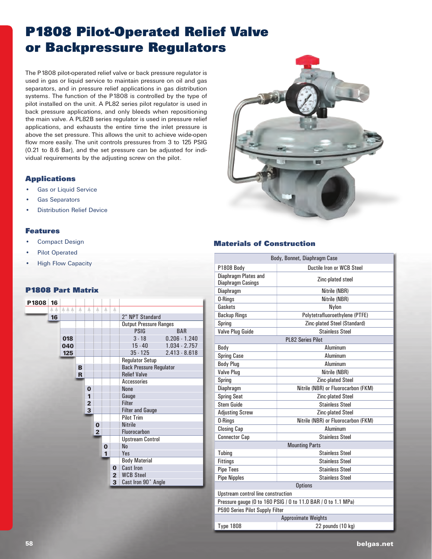# **P1808 Pilot-Operated Relief Valve or Backpressure Regulators**

The P1808 pilot-operated relief valve or back pressure regulator is used in gas or liquid service to maintain pressure on oil and gas separators, and in pressure relief applications in gas distribution systems. The function of the P1808 is controlled by the type of pilot installed on the unit. A PL82 series pilot regulator is used in back pressure applications, and only bleeds when repositioning the main valve. A PL82B series regulator is used in pressure relief applications, and exhausts the entire time the inlet pressure is above the set pressure. This allows the unit to achieve wide-open flow more easily. The unit controls pressures from 3 to 125 PSIG (0.21 to 8.6 Bar), and the set pressure can be adjusted for individual requirements by the adjusting screw on the pilot.

#### **Applications**

- **Gas or Liquid Service**
- **Gas Separators**
- **Distribution Relief Device**

#### **Features**

- **Compact Design**
- Pilot Operated
- **High Flow Capacity**

#### **P1808 Part Matrix**

| P1808 | 16  |            |   |                |                |          |                |                                |                 |  |
|-------|-----|------------|---|----------------|----------------|----------|----------------|--------------------------------|-----------------|--|
|       | A A | <b>AAA</b> | A | А              | A              | A        | A              |                                |                 |  |
|       | 16  |            |   |                |                |          |                | 2" NPT Standard                |                 |  |
|       |     |            |   |                |                |          |                | <b>Output Pressure Ranges</b>  |                 |  |
|       |     |            |   |                |                |          |                | <b>PSIG</b><br><b>BAR</b>      |                 |  |
|       |     | 018        |   |                |                |          |                | $3 - 18$                       | $0.206 - 1.240$ |  |
|       |     | 040        |   |                |                |          |                | $15 - 40$                      | $1.034 - 2.757$ |  |
|       |     | 125        |   |                |                |          |                | $35 - 125$                     | $2.413 - 8.618$ |  |
|       |     |            |   |                |                |          |                | <b>Regulator Setup</b>         |                 |  |
|       |     |            | B |                |                |          |                | <b>Back Pressure Regulator</b> |                 |  |
|       |     |            | R |                |                |          |                | <b>Relief Valve</b>            |                 |  |
|       |     |            |   |                |                |          |                | <b>Accessories</b>             |                 |  |
|       |     |            |   | $\bf{0}$       |                |          |                | <b>None</b>                    |                 |  |
|       |     |            |   | 1              |                |          |                | Gauge                          |                 |  |
|       |     |            |   | $\overline{2}$ |                |          |                | <b>Filter</b>                  |                 |  |
|       |     |            |   | 3              |                |          |                | <b>Filter and Gauge</b>        |                 |  |
|       |     |            |   |                |                |          |                | <b>Pilot Trim</b>              |                 |  |
|       |     |            |   |                | $\bf{0}$       |          |                | <b>Nitrile</b>                 |                 |  |
|       |     |            |   |                | $\overline{2}$ |          |                | Fluorocarbon                   |                 |  |
|       |     |            |   |                |                |          |                | <b>Upstream Control</b>        |                 |  |
|       |     |            |   |                |                | $\bf{0}$ |                | N <sub>0</sub>                 |                 |  |
|       |     |            |   |                |                | 1        |                | Yes                            |                 |  |
|       |     |            |   |                |                |          |                | <b>Body Material</b>           |                 |  |
|       |     |            |   |                |                |          | $\bf{O}$       | <b>Cast Iron</b>               |                 |  |
|       |     |            |   |                |                |          | $\overline{2}$ | <b>WCB Steel</b>               |                 |  |
|       |     |            |   |                |                |          | 3              | Cast Iron 90° Angle            |                 |  |
|       |     |            |   |                |                |          |                |                                |                 |  |



#### **Materials of Construction**

| Body, Bonnet, Diaphragm Case                                  |                                     |  |  |  |  |
|---------------------------------------------------------------|-------------------------------------|--|--|--|--|
| <b>P1808 Body</b>                                             | <b>Ductile Iron or WCB Steel</b>    |  |  |  |  |
| Diaphragm Plates and<br><b>Diaphragm Casings</b>              | Zinc-plated steel                   |  |  |  |  |
| Diaphragm                                                     | Nitrile (NBR)                       |  |  |  |  |
| 0-Rings                                                       | Nitrile (NBR)                       |  |  |  |  |
| Gaskets                                                       | Nylon                               |  |  |  |  |
| <b>Backup Rings</b>                                           | Polytetrafluoroethylene (PTFE)      |  |  |  |  |
| Spring                                                        | Zinc-plated Steel (Standard)        |  |  |  |  |
| Valve Plug Guide                                              | <b>Stainless Steel</b>              |  |  |  |  |
|                                                               | <b>PL82 Series Pilot</b>            |  |  |  |  |
| Body                                                          | Aluminum                            |  |  |  |  |
| <b>Spring Case</b>                                            | Aluminum                            |  |  |  |  |
| <b>Body Plug</b>                                              | Aluminum                            |  |  |  |  |
| <b>Valve Plug</b>                                             | Nitrile (NBR)                       |  |  |  |  |
| Spring                                                        | <b>Zinc-plated Steel</b>            |  |  |  |  |
| Diaphragm                                                     | Nitrile (NBR) or Fluorocarbon (FKM) |  |  |  |  |
| <b>Spring Seat</b>                                            | <b>Zinc-plated Steel</b>            |  |  |  |  |
| <b>Stem Guide</b>                                             | <b>Stainless Steel</b>              |  |  |  |  |
| <b>Adjusting Screw</b>                                        | Zinc-plated Steel                   |  |  |  |  |
| 0-Rings                                                       | Nitrile (NBR) or Fluorocarbon (FKM) |  |  |  |  |
| <b>Closing Cap</b>                                            | Aluminum                            |  |  |  |  |
| <b>Connector Cap</b>                                          | <b>Stainless Steel</b>              |  |  |  |  |
|                                                               | <b>Mounting Parts</b>               |  |  |  |  |
| Tubing                                                        | <b>Stainless Steel</b>              |  |  |  |  |
| <b>Fittings</b>                                               | <b>Stainless Steel</b>              |  |  |  |  |
| <b>Pipe Tees</b>                                              | <b>Stainless Steel</b>              |  |  |  |  |
| <b>Pipe Nipples</b>                                           | <b>Stainless Steel</b>              |  |  |  |  |
|                                                               | <b>Options</b>                      |  |  |  |  |
| Upstream control line construction                            |                                     |  |  |  |  |
| Pressure gauge (0 to 160 PSIG / 0 to 11.0 BAR / 0 to 1.1 MPa) |                                     |  |  |  |  |
| P590 Series Pilot Supply Filter                               |                                     |  |  |  |  |
|                                                               | <b>Approximate Weights</b>          |  |  |  |  |
| <b>Type 1808</b>                                              | 22 pounds (10 kg)                   |  |  |  |  |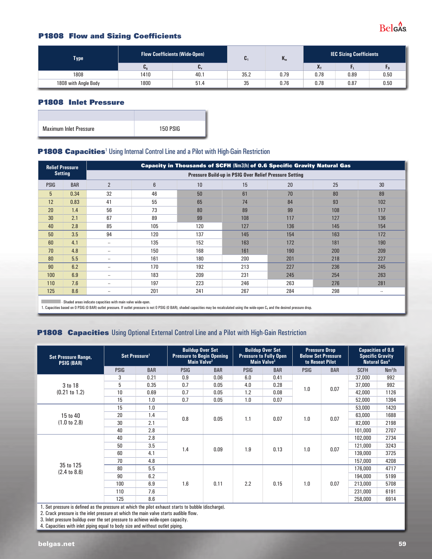

#### **P1808 Flow and Sizing Coefficients**

| <b>Type</b>          | <b>Flow Coefficients (Wide-Open)</b> | U.             | $\mathbf{R}_{m}$ | <b>IEC Sizing Coefficients</b> |      |      |      |
|----------------------|--------------------------------------|----------------|------------------|--------------------------------|------|------|------|
|                      | v.                                   | $\mathbf{U}_V$ |                  |                                | v.   |      |      |
| 1808                 | 1410                                 | 40.1           | 35.2             | 0.79                           | 0.78 | 0.89 | 0.50 |
| 1808 with Angle Body | 1800                                 | 51.4           | 35               | 0.76                           | 0.78 | 0.87 | 0.50 |

#### **P1808 Inlet Pressure**

| <b>Maximum Inlet Pressure</b> | 150 PSIG |
|-------------------------------|----------|

#### **P1808 Capacities**<sup>1</sup> Using Internal Control Line and a Pilot with High-Gain Restriction

| <b>Relief Pressure</b>                                                                                                                                          |                |                                                        |                |     |     | <b>Capacity in Thousands of SCFH (Nm3/h) of 0.6 Specific Gravity Natural Gas</b> |     |                 |  |  |  |
|-----------------------------------------------------------------------------------------------------------------------------------------------------------------|----------------|--------------------------------------------------------|----------------|-----|-----|----------------------------------------------------------------------------------|-----|-----------------|--|--|--|
|                                                                                                                                                                 | <b>Setting</b> | Pressure Build-up in PSIG Over Relief Pressure Setting |                |     |     |                                                                                  |     |                 |  |  |  |
| <b>PSIG</b>                                                                                                                                                     | <b>BAR</b>     | $\overline{2}$                                         | $6\phantom{1}$ | 10  | 15  | 20                                                                               | 25  | 30 <sup>°</sup> |  |  |  |
| 5                                                                                                                                                               | 0.34           | 32                                                     | 46             | 50  | 61  | 70                                                                               | 80  | 89              |  |  |  |
| 12                                                                                                                                                              | 0.83           | 41                                                     | 55             | 65  | 74  | 84                                                                               | 93  | 102             |  |  |  |
| 20                                                                                                                                                              | 1.4            | 56                                                     | 73             | 80  | 89  | 99                                                                               | 108 | 117             |  |  |  |
| 30                                                                                                                                                              | 2.1            | 67                                                     | 89             | 99  | 108 | 117                                                                              | 127 | 136             |  |  |  |
| 40                                                                                                                                                              | 2.8            | 85                                                     | 105            | 120 | 127 | 136                                                                              | 145 | 154             |  |  |  |
| 50                                                                                                                                                              | 3.5            | 94                                                     | 120            | 137 | 145 | 154                                                                              | 163 | 172             |  |  |  |
| 60                                                                                                                                                              | 4.1            | $\sim$                                                 | 135            | 152 | 163 | 172                                                                              | 181 | 190             |  |  |  |
| 70                                                                                                                                                              | 4.8            | $\ddotsc$                                              | 150            | 168 | 161 | 190                                                                              | 200 | 209             |  |  |  |
| 80                                                                                                                                                              | 5.5            | $\sim$                                                 | 161            | 180 | 200 | 201                                                                              | 218 | 227             |  |  |  |
| 90                                                                                                                                                              | 6.2            | $\sim$                                                 | 170            | 192 | 213 | 227                                                                              | 236 | 245             |  |  |  |
| 100                                                                                                                                                             | 6.9            | $\sim$                                                 | 183            | 209 | 231 | 245                                                                              | 254 | 263             |  |  |  |
| 110                                                                                                                                                             | 7.6            | $\sim$                                                 | 197            | 223 | 246 | 263                                                                              | 276 | 281             |  |  |  |
| 125                                                                                                                                                             | 8.6            | $\ddotsc$                                              | 201            | 241 | 267 | 284                                                                              | 298 | $\ddotsc$       |  |  |  |
| and the contract of the contract of the con-<br>the transport of the state of the state of the state of the state of the state of the state of the state of the |                |                                                        |                |     |     |                                                                                  |     |                 |  |  |  |

- Shaded areas indicate capacities with main valve wide-open.

1. Capacities based on O PSIG (O BAR) outlet pressure. If outlet pressure is not O PSIG (O BAR), shaded capacities may be recalculated using the wide-open C<sub>g</sub> and the desired pressure drop.

#### **P1808 Capacities** Using Optional External Control Line and a Pilot with High-Gain Restriction

| <b>Set Pressure Range,</b><br><b>PSIG (BAR)</b>                                                                                                                                                                                                                                                                                                                                                                                                                                                      | Set Pressure <sup>1</sup> |            | <b>Buildup Over Set</b><br><b>Pressure to Begin Opening</b><br>Main Valve <sup>2</sup> |            | <b>Buildup Over Set</b><br><b>Pressure to Fully Open</b><br>Main Valve <sup>3</sup> |            | <b>Pressure Drop</b><br><b>Below Set Pressure</b><br>to Reseat Pilot |            | <b>Capacities of 0.6</b><br><b>Specific Gravity</b><br>Natural Gas <sup>4</sup> |                    |
|------------------------------------------------------------------------------------------------------------------------------------------------------------------------------------------------------------------------------------------------------------------------------------------------------------------------------------------------------------------------------------------------------------------------------------------------------------------------------------------------------|---------------------------|------------|----------------------------------------------------------------------------------------|------------|-------------------------------------------------------------------------------------|------------|----------------------------------------------------------------------|------------|---------------------------------------------------------------------------------|--------------------|
|                                                                                                                                                                                                                                                                                                                                                                                                                                                                                                      | <b>PSIG</b>               | <b>BAR</b> | <b>PSIG</b>                                                                            | <b>BAR</b> | <b>PSIG</b>                                                                         | <b>BAR</b> | <b>PSIG</b>                                                          | <b>BAR</b> | <b>SCFH</b>                                                                     | Nm <sup>3</sup> /h |
|                                                                                                                                                                                                                                                                                                                                                                                                                                                                                                      | 3                         | 0.21       | 0.9                                                                                    | 0.06       | 6.0                                                                                 | 0.41       |                                                                      |            | 37,000                                                                          | 992                |
| 5<br>0.7<br>0.35<br>0.05<br>4.0<br>0.28<br>3 to 18<br>(0.21 to 1.2)<br>10<br>0.7<br>0.69<br>1.2<br>0.05<br>0.08<br>0.7<br>15<br>1.0<br>0.05<br>1.0<br>0.07<br>15<br>1.0<br>20<br>1.4<br>15 to 40<br>0.8<br>0.05<br>1.1<br>0.07<br>(1.0 to 2.8)<br>30<br>2.1<br>40<br>2.8<br>2.8<br>40<br>3.5<br>50<br>1.4<br>0.09<br>1.9<br>0.13<br>4.1<br>60<br>70<br>4.8<br>35 to 125<br>5.5<br>80<br>$(2.4 \text{ to } 8.6)$<br>90<br>6.2<br>2.2<br>6.9<br>1.6<br>0.11<br>0.15<br>100<br>7.6<br>110<br>8.6<br>125 |                           |            |                                                                                        |            |                                                                                     |            |                                                                      |            | 37,000                                                                          | 992                |
|                                                                                                                                                                                                                                                                                                                                                                                                                                                                                                      | 1.0                       | 0.07       | 42,000                                                                                 | 1126       |                                                                                     |            |                                                                      |            |                                                                                 |                    |
|                                                                                                                                                                                                                                                                                                                                                                                                                                                                                                      |                           |            |                                                                                        |            |                                                                                     |            |                                                                      |            | 52,000                                                                          | 1394               |
|                                                                                                                                                                                                                                                                                                                                                                                                                                                                                                      |                           |            |                                                                                        |            |                                                                                     |            |                                                                      |            | 53,000                                                                          | 1420               |
|                                                                                                                                                                                                                                                                                                                                                                                                                                                                                                      |                           |            |                                                                                        |            |                                                                                     |            |                                                                      |            | 63,000                                                                          | 1688               |
|                                                                                                                                                                                                                                                                                                                                                                                                                                                                                                      |                           |            |                                                                                        |            |                                                                                     |            | 1.0                                                                  | 0.07       | 82,000                                                                          | 2198               |
|                                                                                                                                                                                                                                                                                                                                                                                                                                                                                                      |                           |            |                                                                                        |            |                                                                                     |            |                                                                      |            | 101.000                                                                         | 2707               |
|                                                                                                                                                                                                                                                                                                                                                                                                                                                                                                      |                           |            |                                                                                        |            |                                                                                     |            |                                                                      |            | 102,000                                                                         | 2734               |
|                                                                                                                                                                                                                                                                                                                                                                                                                                                                                                      |                           |            |                                                                                        |            |                                                                                     |            |                                                                      |            | 121,000                                                                         | 3243               |
|                                                                                                                                                                                                                                                                                                                                                                                                                                                                                                      |                           |            |                                                                                        |            |                                                                                     |            | 1.0                                                                  | 0.07       | 139,000                                                                         | 3725               |
|                                                                                                                                                                                                                                                                                                                                                                                                                                                                                                      |                           |            |                                                                                        |            |                                                                                     |            |                                                                      |            | 157.000                                                                         | 4208               |
|                                                                                                                                                                                                                                                                                                                                                                                                                                                                                                      |                           |            |                                                                                        |            |                                                                                     |            |                                                                      |            | 176,000                                                                         | 4717               |
|                                                                                                                                                                                                                                                                                                                                                                                                                                                                                                      |                           |            |                                                                                        |            |                                                                                     |            |                                                                      |            | 194,000                                                                         | 5199               |
|                                                                                                                                                                                                                                                                                                                                                                                                                                                                                                      |                           |            |                                                                                        |            |                                                                                     |            | 1.0                                                                  | 0.07       | 213,000                                                                         | 5708               |
|                                                                                                                                                                                                                                                                                                                                                                                                                                                                                                      |                           |            |                                                                                        |            |                                                                                     |            |                                                                      |            | 231,000                                                                         | 6191               |
|                                                                                                                                                                                                                                                                                                                                                                                                                                                                                                      |                           |            |                                                                                        |            |                                                                                     |            |                                                                      |            | 258,000                                                                         | 6914               |
| . Oak waasana la daffaad oo kko waasana shi chiqh dha shi na shoccata taarta ta kublola Idisabayaa l                                                                                                                                                                                                                                                                                                                                                                                                 |                           |            |                                                                                        |            |                                                                                     |            |                                                                      |            |                                                                                 |                    |

1. Set pressure is defined as the pressure at which the pilot exhaust starts to bubble (discharge).

2. Crack pressure is the inlet pressure at which the main valve starts audible flow.

3. Inlet pressure buildup over the set pressure to achieve wide-open capacity.

4. Capacities with inlet piping equal to body size and without outlet piping.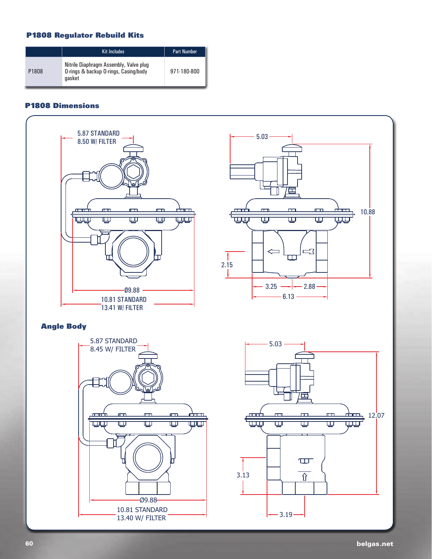## **P1808 Regulator Rebuild Kits**

|                   | <b>Kit Includes</b>                                                                       | <b>Part Number</b> |
|-------------------|-------------------------------------------------------------------------------------------|--------------------|
| P <sub>1808</sub> | Nitrile Diaphragm Assembly, Valve plug<br>O-rings & backup O-rings, Casing/body<br>aasket | 971-180-800        |

## **P1808 Dimensions**